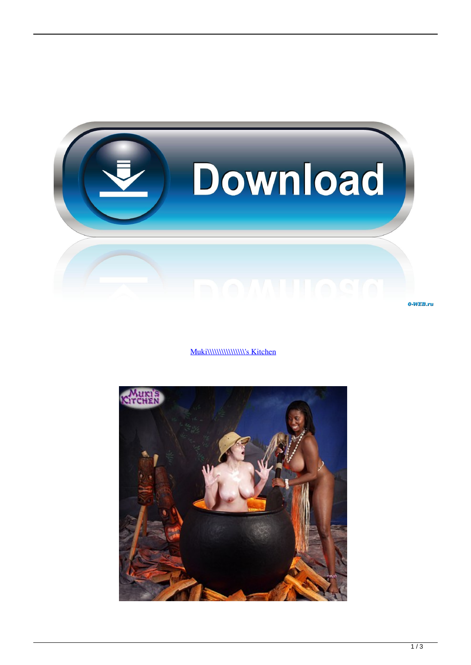

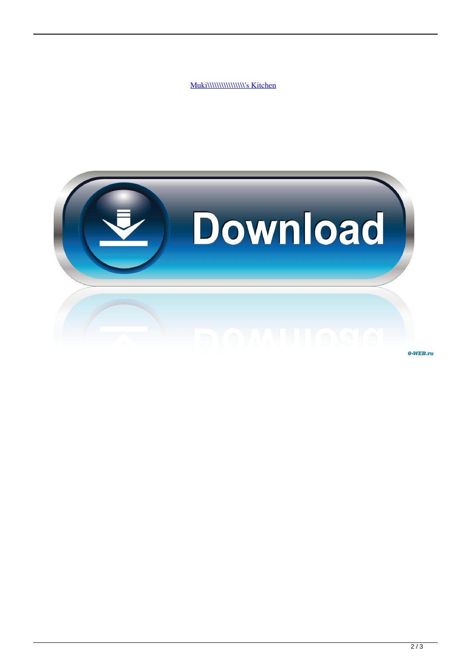

0-WEB.ru